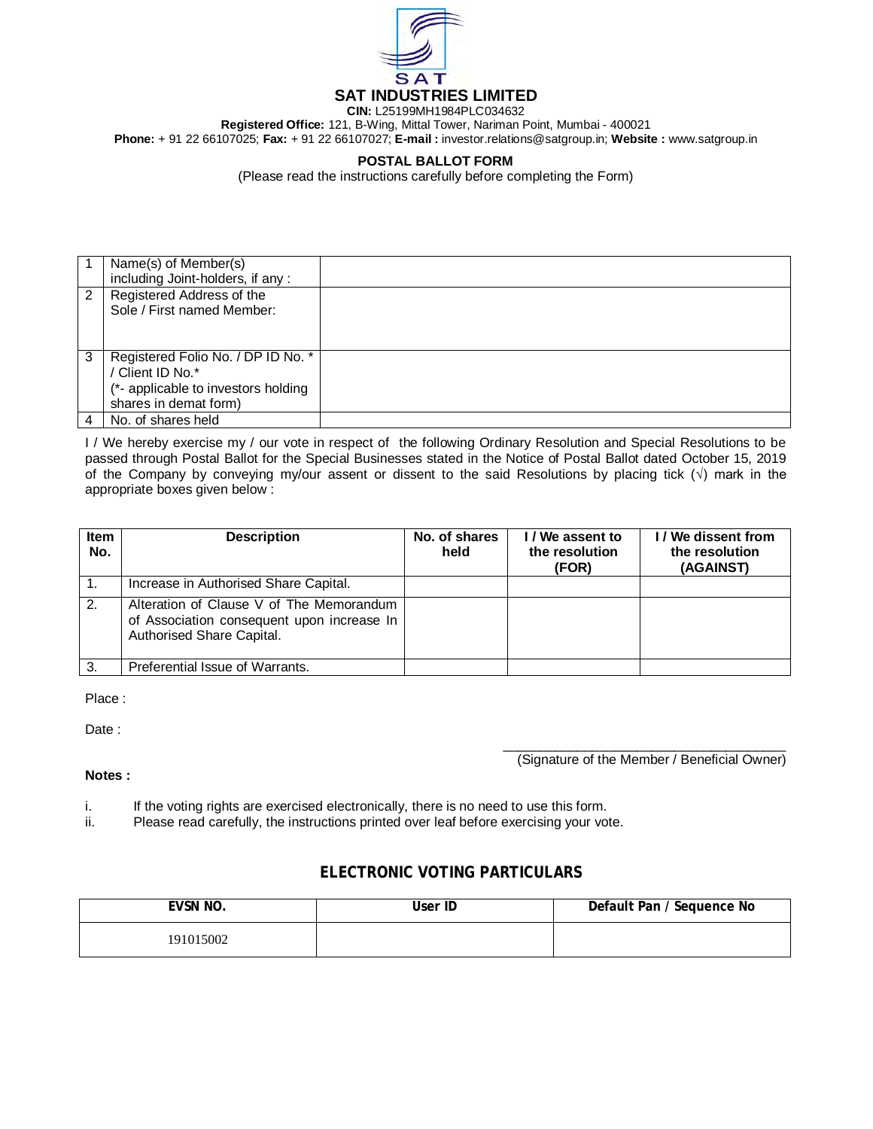

**CIN:** L25199MH1984PLC034632 **Registered Office:** 121, B-Wing, Mittal Tower, Nariman Point, Mumbai - 400021 **Phone:** + 91 22 66107025; **Fax:** + 91 22 66107027; **E-mail :** investor.relations@satgroup.in; **Website :** www.satgroup.in

## **POSTAL BALLOT FORM**

(Please read the instructions carefully before completing the Form)

|   | Name(s) of Member(s)                |  |
|---|-------------------------------------|--|
|   | including Joint-holders, if any:    |  |
| 2 | Registered Address of the           |  |
|   | Sole / First named Member:          |  |
|   |                                     |  |
|   |                                     |  |
| 3 | Registered Folio No. / DP ID No. *  |  |
|   | / Client ID No.*                    |  |
|   | (*- applicable to investors holding |  |
|   | shares in demat form)               |  |
| 4 | No. of shares held                  |  |

I / We hereby exercise my / our vote in respect of the following Ordinary Resolution and Special Resolutions to be passed through Postal Ballot for the Special Businesses stated in the Notice of Postal Ballot dated October 15, 2019 of the Company by conveying my/our assent or dissent to the said Resolutions by placing tick  $(\sqrt{)}$  mark in the appropriate boxes given below :

| <b>Item</b><br>No. | <b>Description</b>                                                                                                  | No. of shares<br>held | I / We assent to<br>the resolution<br>(FOR) | I/We dissent from<br>the resolution<br>(AGAINST) |
|--------------------|---------------------------------------------------------------------------------------------------------------------|-----------------------|---------------------------------------------|--------------------------------------------------|
|                    | Increase in Authorised Share Capital.                                                                               |                       |                                             |                                                  |
| 2.                 | Alteration of Clause V of The Memorandum<br>of Association consequent upon increase In<br>Authorised Share Capital. |                       |                                             |                                                  |
| 3.                 | Preferential Issue of Warrants.                                                                                     |                       |                                             |                                                  |

Place :

Date :

 $\overline{\phantom{a}}$  , and the state of the state of the state of the state of the state of the state of the state of the state of the state of the state of the state of the state of the state of the state of the state of the stat (Signature of the Member / Beneficial Owner)

## **Notes :**

- i. If the voting rights are exercised electronically, there is no need to use this form.<br>ii. Please read carefully, the instructions printed over leaf before exercising your vo
- Please read carefully, the instructions printed over leaf before exercising your vote.

## **ELECTRONIC VOTING PARTICULARS**

| EVSN NO.  | User ID | Default Pan / Sequence No |
|-----------|---------|---------------------------|
| 191015002 |         |                           |